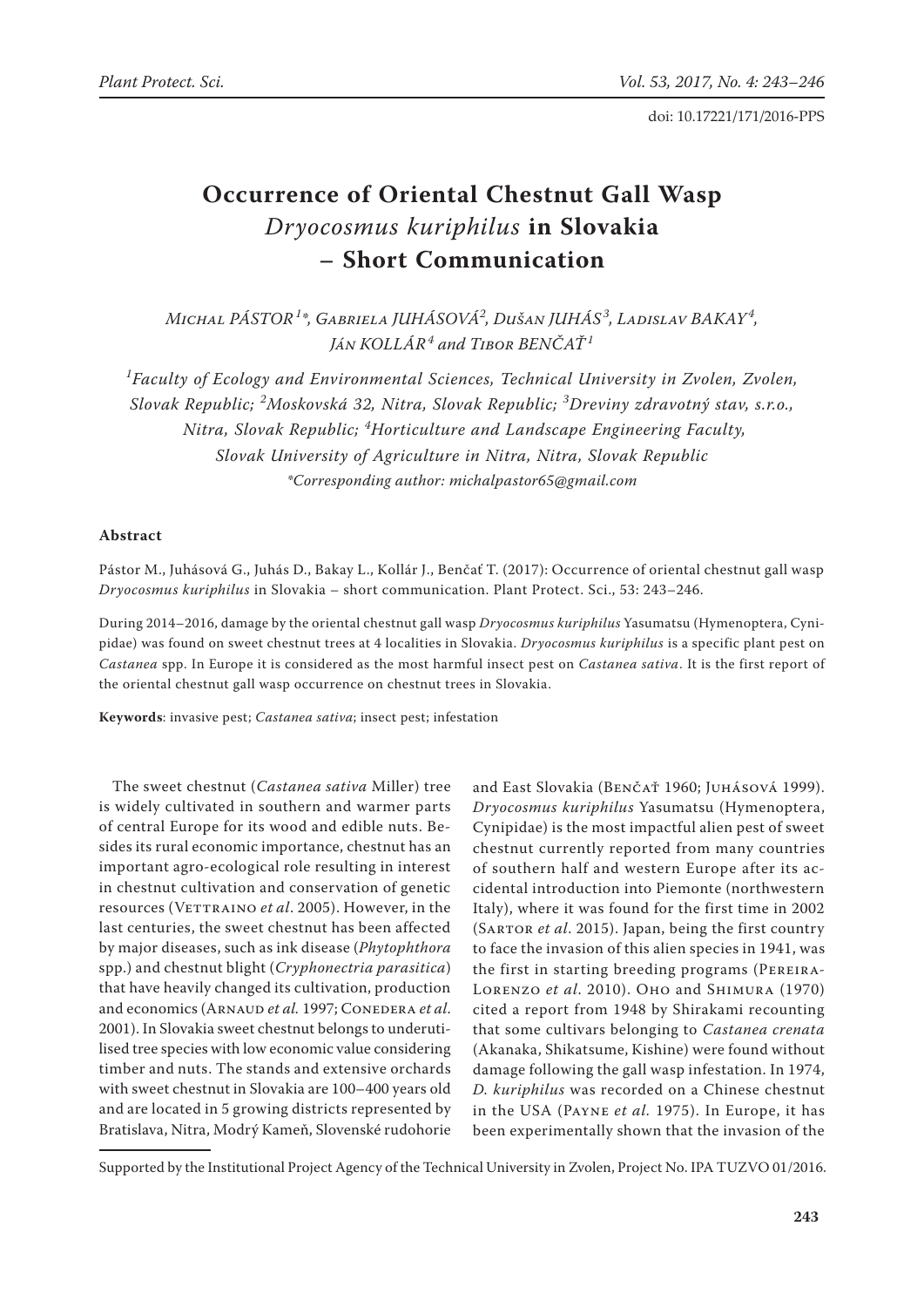doi: 10.17221/171/2016-PPS

# **Occurrence of Oriental Chestnut Gall Wasp**  *Dryocosmus kuriphilus* **in Slovakia – Short Communication**

*Michal Pástor<sup>1</sup> \*, Gabriela Juhásová<sup>2</sup> , Dušan Juhás <sup>3</sup> , Ladislav Bakay<sup>4</sup> , Ján Kollár<sup>4</sup> and Tibor Benčať<sup>1</sup>*

<sup>1</sup> Faculty of Ecology and Environmental Sciences, Technical University in Zvolen, Zvolen, *Slovak Republic; <sup>2</sup> Moskovská 32, Nitra, Slovak Republic; <sup>3</sup> Dreviny zdravotný stav, s.r.o., Nitra, Slovak Republic; <sup>4</sup> Horticulture and Landscape Engineering Faculty, Slovak University of Agriculture in Nitra, Nitra, Slovak Republic \*Corresponding author: michalpastor65@gmail.com*

### **Abstract**

Pástor M., Juhásová G., Juhás D., Bakay L., Kollár J., Benčať T. (2017): Occurrence of oriental chestnut gall wasp *Dryocosmus kuriphilus* in Slovakia – short communication. Plant Protect. Sci., 53: 243–246.

During 2014–2016, damage by the oriental chestnut gall wasp *Dryocosmus kuriphilus* Yasumatsu (Hymenoptera, Cynipidae) was found on sweet chestnut trees at 4 localities in Slovakia. *Dryocosmus kuriphilus* is a specific plant pest on *Castanea* spp. In Europe it is considered as the most harmful insect pest on *Castanea sativa*. It is the first report of the oriental chestnut gall wasp occurrence on chestnut trees in Slovakia.

**Keywords**: invasive pest; *Castanea sativa*; insect pest; infestation

The sweet chestnut (*Castanea sativa* Miller) tree is widely cultivated in southern and warmer parts of central Europe for its wood and edible nuts. Besides its rural economic importance, chestnut has an important agro-ecological role resulting in interest in chestnut cultivation and conservation of genetic resources (VETTRAINO *et al.* 2005). However, in the last centuries, the sweet chestnut has been affected by major diseases, such as ink disease (*Phytophthora* spp.) and chestnut blight (*Cryphonectria parasitica*) that have heavily changed its cultivation, production and economics (ARNAUD et al. 1997; CONEDERA et al. 2001). In Slovakia sweet chestnut belongs to underutilised tree species with low economic value considering timber and nuts. The stands and extensive orchards with sweet chestnut in Slovakia are 100–400 years old and are located in 5 growing districts represented by Bratislava, Nitra, Modrý Kameň, Slovenské rudohorie

and East Slovakia (Benčať 1960; Juhásová 1999). *Dryocosmus kuriphilus* Yasumatsu (Hymenoptera, Cynipidae) is the most impactful alien pest of sweet chestnut currently reported from many countries of southern half and western Europe after its accidental introduction into Piemonte (northwestern Italy), where it was found for the first time in 2002 (SARTOR *et al.* 2015). Japan, being the first country to face the invasion of this alien species in 1941, was the first in starting breeding programs (Pereira-Lorenzo *et al*. 2010). Oho and Shimura (1970) cited a report from 1948 by Shirakami recounting that some cultivars belonging to *Castanea crenata* (Akanaka, Shikatsume, Kishine) were found without damage following the gall wasp infestation. In 1974, *D. kuriphilus* was recorded on a Chinese chestnut in the USA (Payne *et al.* 1975). In Europe, it has been experimentally shown that the invasion of the

Supported by the Institutional Project Agency of the Technical University in Zvolen, Project No. IPA TUZVO 01/2016.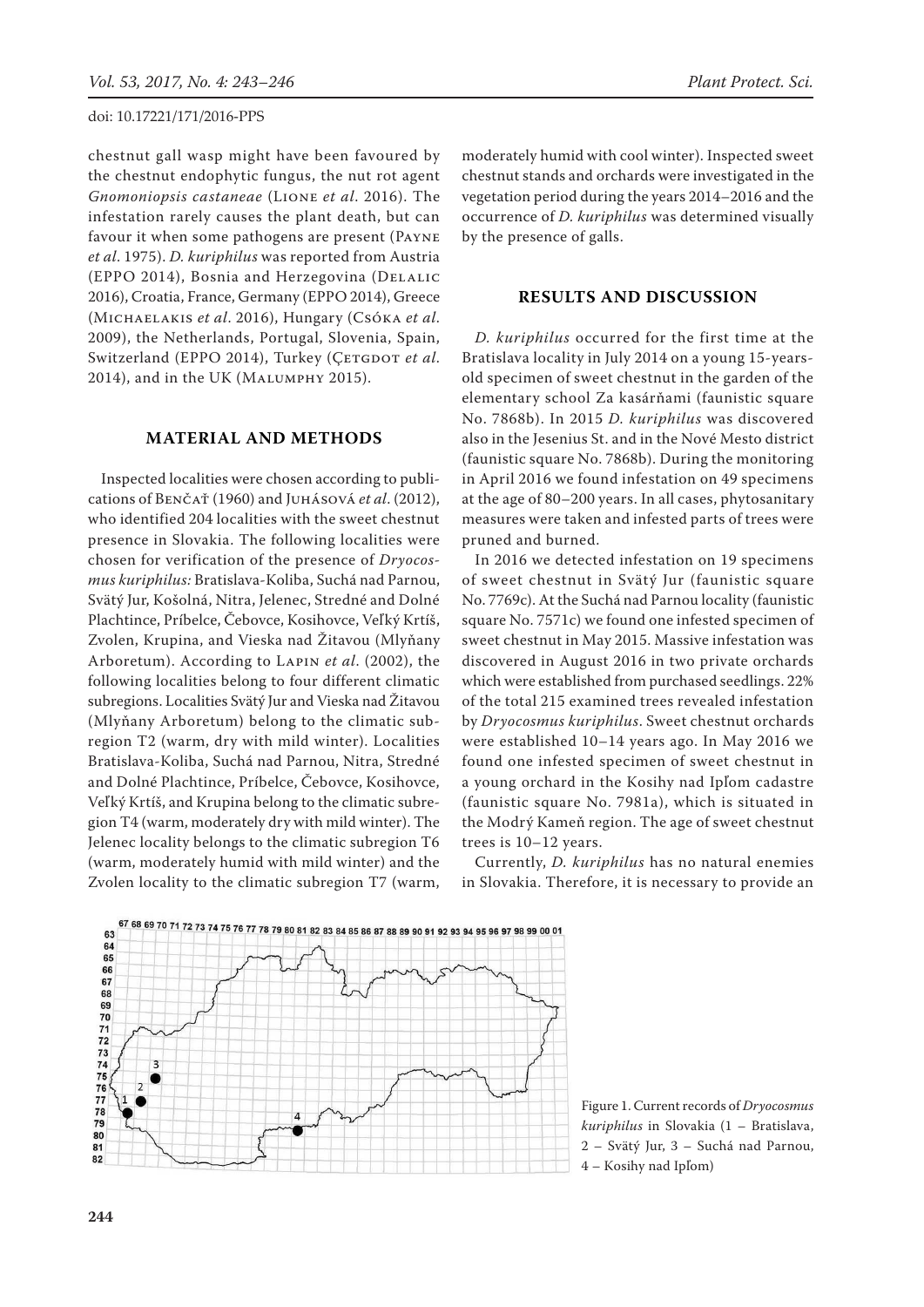#### doi: 10.17221/171/2016-PPS

chestnut gall wasp might have been favoured by the chestnut endophytic fungus, the nut rot agent *Gnomoniopsis castaneae* (Lione *et al*. 2016). The infestation rarely causes the plant death, but can favour it when some pathogens are present (Payne *et al*. 1975). *D. kuriphilus* was reported from Austria (EPPO 2014), Bosnia and Herzegovina (Delalic 2016), Croatia, France, Germany (EPPO 2014), Greece (Michaelakis *et al*. 2016), Hungary (Csóka *et al*. 2009), the Netherlands, Portugal, Slovenia, Spain, Switzerland (EPPO 2014), Turkey (CETGDOT et al. 2014), and in the UK (Malumphy 2015).

## **Material and Methods**

Inspected localities were chosen according to publications of Benčať (1960) and Juhásová *et al*. (2012), who identified 204 localities with the sweet chestnut presence in Slovakia. The following localities were chosen for verification of the presence of *Dryocosmus kuriphilus:* Bratislava-Koliba, Suchá nad Parnou, Svätý Jur, Košolná, Nitra, Jelenec, Stredné and Dolné Plachtince, Príbelce, Čebovce, Kosihovce, Veľký Krtíš, Zvolen, Krupina, and Vieska nad Žitavou (Mlyňany Arboretum). According to Lapin *et al*. (2002), the following localities belong to four different climatic subregions. Localities Svätý Jur and Vieska nad Žitavou (Mlyňany Arboretum) belong to the climatic subregion T2 (warm, dry with mild winter). Localities Bratislava-Koliba, Suchá nad Parnou, Nitra, Stredné and Dolné Plachtince, Príbelce, Čebovce, Kosihovce, Veľký Krtíš, and Krupina belong to the climatic subregion T4 (warm, moderately dry with mild winter). The Jelenec locality belongs to the climatic subregion T6 (warm, moderately humid with mild winter) and the Zvolen locality to the climatic subregion T7 (warm,

moderately humid with cool winter). Inspected sweet chestnut stands and orchards were investigated in the vegetation period during the years 2014–2016 and the occurrence of *D. kuriphilus* was determined visually by the presence of galls.

## **Results and Discussion**

*D. kuriphilus* occurred for the first time at the Bratislava locality in July 2014 on a young 15-yearsold specimen of sweet chestnut in the garden of the elementary school Za kasárňami (faunistic square No. 7868b). In 2015 *D. kuriphilus* was discovered also in the Jesenius St. and in the Nové Mesto district (faunistic square No. 7868b). During the monitoring in April 2016 we found infestation on 49 specimens at the age of 80–200 years. In all cases, phytosanitary measures were taken and infested parts of trees were pruned and burned.

In 2016 we detected infestation on 19 specimens of sweet chestnut in Svätý Jur (faunistic square No. 7769c). At the Suchá nad Parnou locality (faunistic square No. 7571c) we found one infested specimen of sweet chestnut in May 2015. Massive infestation was discovered in August 2016 in two private orchards which were established from purchased seedlings. 22% of the total 215 examined trees revealed infestation by *Dryocosmus kuriphilus*. Sweet chestnut orchards were established 10–14 years ago. In May 2016 we found one infested specimen of sweet chestnut in a young orchard in the Kosihy nad Ipľom cadastre (faunistic square No. 7981a), which is situated in the Modrý Kameň region. The age of sweet chestnut trees is 10–12 years.

Currently, *D. kuriphilus* has no natural enemies in Slovakia. Therefore, it is necessary to provide an



Figure 1. Current records of *Dryocosmus kuriphilus* in Slovakia (1 – Bratislava, 2 – Svätý Jur, 3 – Suchá nad Parnou, 4 – Kosihy nad Ipľom)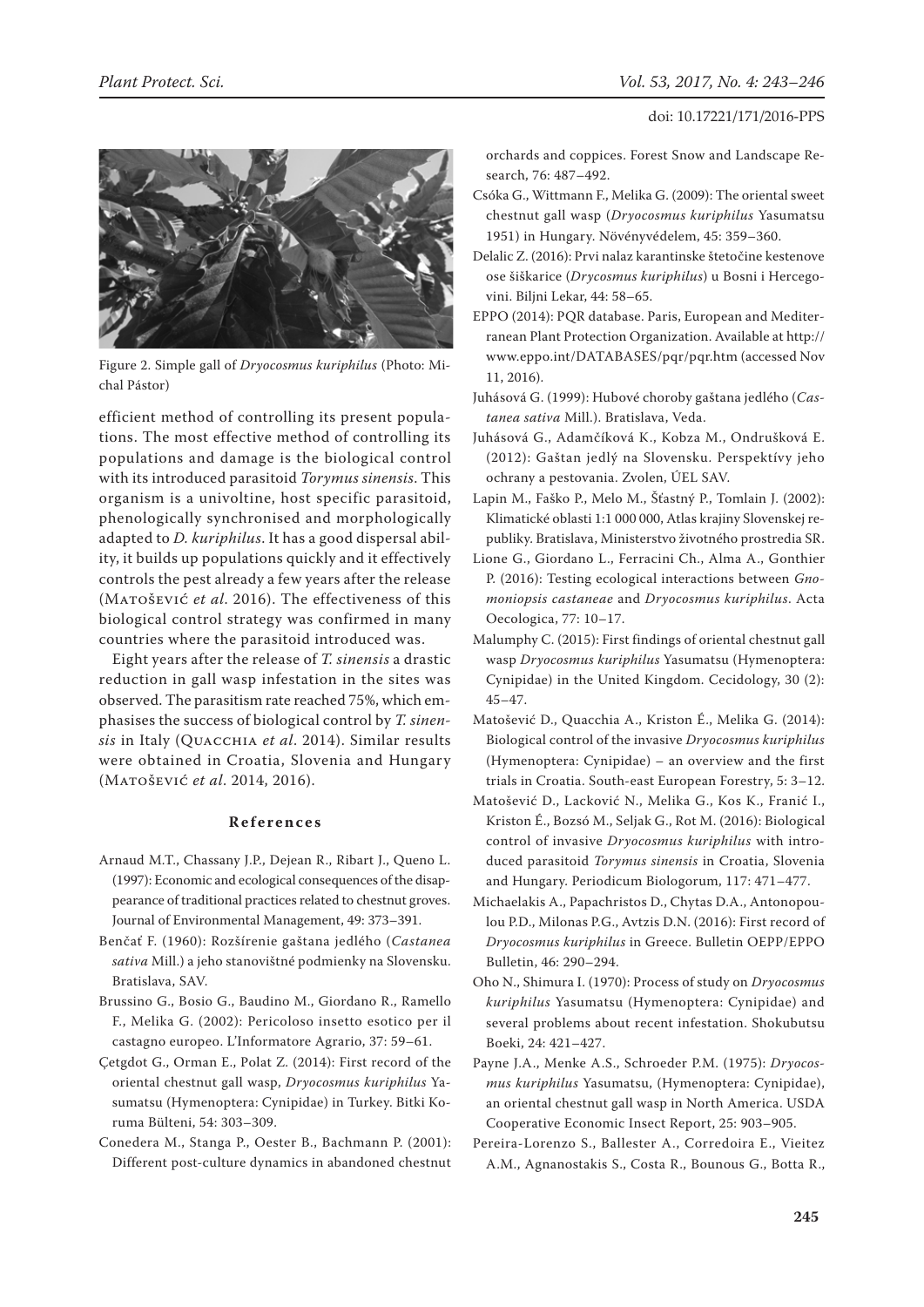

Figure 2. Simple gall of *Dryocosmus kuriphilus* (Photo: Michal Pástor)

efficient method of controlling its present populations. The most effective method of controlling its populations and damage is the biological control with its introduced parasitoid *Torymus sinensis*. This organism is a univoltine, host specific parasitoid, phenologically synchronised and morphologically adapted to *D. kuriphilus*. It has a good dispersal ability, it builds up populations quickly and it effectively controls the pest already a few years after the release (Matošević *et al*. 2016). The effectiveness of this biological control strategy was confirmed in many countries where the parasitoid introduced was.

Eight years after the release of *T. sinensis* a drastic reduction in gall wasp infestation in the sites was observed. The parasitism rate reached 75%, which emphasises the success of biological control by *T. sinensis* in Italy (Quacchia *et al*. 2014). Similar results were obtained in Croatia, Slovenia and Hungary (Matošević *et al*. 2014, 2016).

#### **References**

- Arnaud M.T., Chassany J.P., Dejean R., Ribart J., Queno L. (1997): Economic and ecological consequences of the disappearance of traditional practices related to chestnut groves. Journal of Environmental Management, 49: 373–391.
- Benčať F. (1960): Rozšírenie gaštana jedlého (*Castanea sativa* Mill.) a jeho stanovištné podmienky na Slovensku. Bratislava, SAV.
- Brussino G., Bosio G., Baudino M., Giordano R., Ramello F., Melika G. (2002): Pericoloso insetto esotico per il castagno europeo. L'Informatore Agrario, 37: 59–61.
- Çetgdot G., Orman E., Polat Z. (2014): First record of the oriental chestnut gall wasp, *Dryocosmus kuriphilus* Yasumatsu (Hymenoptera: Cynipidae) in Turkey. Bitki Koruma Bülteni, 54: 303–309.
- Conedera M., Stanga P., Oester B., Bachmann P. (2001): Different post-culture dynamics in abandoned chestnut

orchards and coppices. Forest Snow and Landscape Research, 76: 487–492.

- Csóka G., Wittmann F., Melika G. (2009): The oriental sweet chestnut gall wasp (*Dryocosmus kuriphilus* Yasumatsu 1951) in Hungary. Növényvédelem, 45: 359–360.
- Delalic Z. (2016): Prvi nalaz karantinske štetočine kestenove ose šiškarice (*Drycosmus kuriphilus*) u Bosni i Hercegovini. Biljni Lekar, 44: 58–65.
- EPPO (2014): PQR database. Paris, European and Mediterranean Plant Protection Organization. Available at http:// www.eppo.int/DATABASES/pqr/pqr.htm (accessed Nov 11, 2016).
- Juhásová G. (1999): Hubové choroby gaštana jedlého (*Castanea sativa* Mill.). Bratislava, Veda.
- Juhásová G., Adamčíková K., Kobza M., Ondrušková E. (2012): Gaštan jedlý na Slovensku. Perspektívy jeho ochrany a pestovania. Zvolen, ÚEL SAV.
- Lapin M., Faško P., Melo M., Šťastný P., Tomlain J. (2002): Klimatické oblasti 1:1 000 000, Atlas krajiny Slovenskej republiky. Bratislava, Ministerstvo životného prostredia SR.
- Lione G., Giordano L., Ferracini Ch., Alma A., Gonthier P. (2016): Testing ecological interactions between *Gnomoniopsis castaneae* and *Dryocosmus kuriphilus*. Acta Oecologica, 77: 10–17.
- Malumphy C. (2015): First findings of oriental chestnut gall wasp *Dryocosmus kuriphilus* Yasumatsu (Hymenoptera: Cynipidae) in the United Kingdom. Cecidology, 30 (2): 45–47.
- Matošević D., Quacchia A., Kriston É., Melika G. (2014): Biological control of the invasive *Dryocosmus kuriphilus* (Hymenoptera: Cynipidae) – an overview and the first trials in Croatia. South-east European Forestry, 5: 3–12.
- Matošević D., Lacković N., Melika G., Kos K., Franić I., Kriston É., Bozsó M., Seljak G., Rot M. (2016): Biological control of invasive *Dryocosmus kuriphilus* with introduced parasitoid *Torymus sinensis* in Croatia, Slovenia and Hungary. Periodicum Biologorum, 117: 471–477.
- Michaelakis A., Papachristos D., Chytas D.A., Antonopoulou P.D., Milonas P.G., Avtzis D.N. (2016): First record of *Dryocosmus kuriphilus* in Greece. Bulletin OEPP/EPPO Bulletin, 46: 290–294.
- Oho N., Shimura I. (1970): Process of study on *Dryocosmus kuriphilus* Yasumatsu (Hymenoptera: Cynipidae) and several problems about recent infestation. Shokubutsu Boeki, 24: 421–427.
- Payne J.A., Menke A.S., Schroeder P.M. (1975): *Dryocosmus kuriphilus* Yasumatsu, (Hymenoptera: Cynipidae), an oriental chestnut gall wasp in North America. USDA Cooperative Economic Insect Report, 25: 903–905.
- Pereira-Lorenzo S., Ballester A., Corredoira E., Vieitez A.M., Agnanostakis S., Costa R., Bounous G., Botta R.,